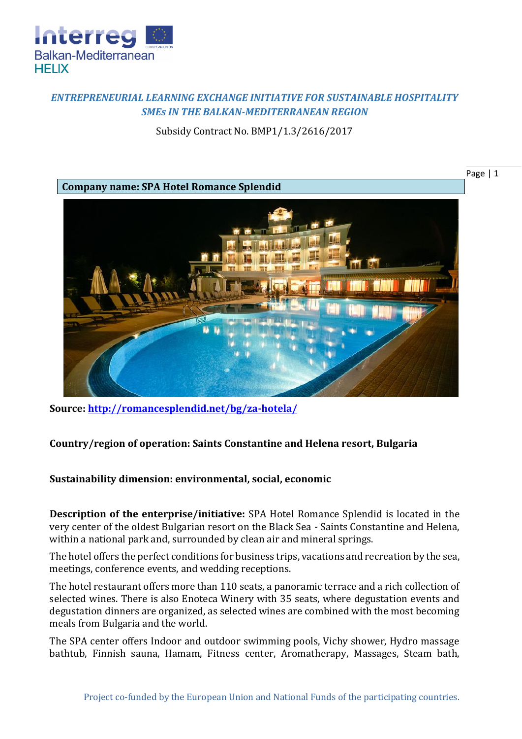

## *ENTREPRENEURIAL LEARNING EXCHANGE INITIATIVE FOR SUSTAINABLE HOSPITALITY SMEs IN THE BALKAN-MEDITERRANEAN REGION*

Subsidy Contract No. BMP1/1.3/2616/2017



**Source:<http://romancesplendid.net/bg/za-hotela/>**

## **Country/region of operation: Saints Constantine and Helena resort, Bulgaria**

## **Sustainability dimension: environmental, social, economic**

**Description of the enterprise/initiative:** SPA Hotel Romance Splendid is located in the very center of the oldest Bulgarian resort on the Black Sea - Saints Constantine and Helena, within a national park and, surrounded by clean air and mineral springs.

The hotel offers the perfect conditions for business trips, vacations and recreation by the sea, meetings, conference events, and wedding receptions.

The hotel restaurant offers more than 110 seats, a panoramic terrace and a rich collection of selected wines. There is also Enoteca Winery with 35 seats, where degustation events and degustation dinners are organized, as selected wines are combined with the most becoming meals from Bulgaria and the world.

The SPA center offers Indoor and outdoor swimming pools, Vichy shower, Hydro massage bathtub, Finnish sauna, Hamam, Fitness center, Aromatherapy, Massages, Steam bath,